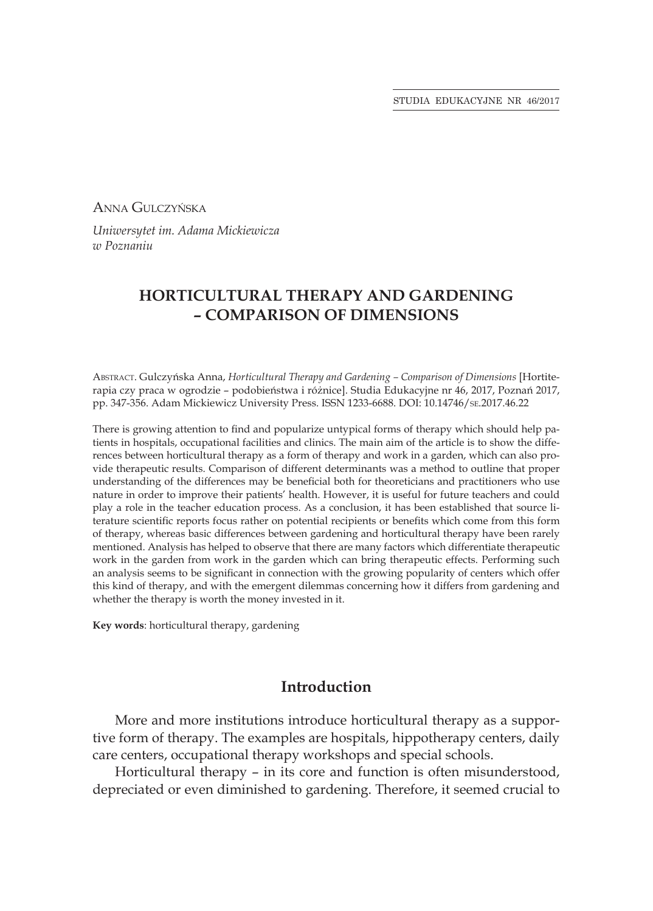Anna Gulczyńska

*Uniwersytet im. Adama Mickiewicza w Poznaniu*

## **HORTICULTURAL THERAPY AND GARDENING – COMPARISON OF DIMENSIONS**

Abstract. Gulczyńska Anna, *Horticultural Therapy and Gardening – Comparison of Dimensions* [Hortiterapia czy praca w ogrodzie – podobieństwa i różnice]. Studia Edukacyjne nr 46, 2017, Poznań 2017, pp. 347-356. Adam Mickiewicz University Press. ISSN 1233-6688. DOI: 10.14746/se.2017.46.22

There is growing attention to find and popularize untypical forms of therapy which should help patients in hospitals, occupational facilities and clinics. The main aim of the article is to show the differences between horticultural therapy as a form of therapy and work in a garden, which can also provide therapeutic results. Comparison of different determinants was a method to outline that proper understanding of the differences may be beneficial both for theoreticians and practitioners who use nature in order to improve their patients' health. However, it is useful for future teachers and could play a role in the teacher education process. As a conclusion, it has been established that source literature scientific reports focus rather on potential recipients or benefits which come from this form of therapy, whereas basic differences between gardening and horticultural therapy have been rarely mentioned. Analysis has helped to observe that there are many factors which differentiate therapeutic work in the garden from work in the garden which can bring therapeutic effects. Performing such an analysis seems to be significant in connection with the growing popularity of centers which offer this kind of therapy, and with the emergent dilemmas concerning how it differs from gardening and whether the therapy is worth the money invested in it.

**Key words**: horticultural therapy, gardening

### **Introduction**

More and more institutions introduce horticultural therapy as a supportive form of therapy. The examples are hospitals, hippotherapy centers, daily care centers, occupational therapy workshops and special schools.

Horticultural therapy – in its core and function is often misunderstood, depreciated or even diminished to gardening. Therefore, it seemed crucial to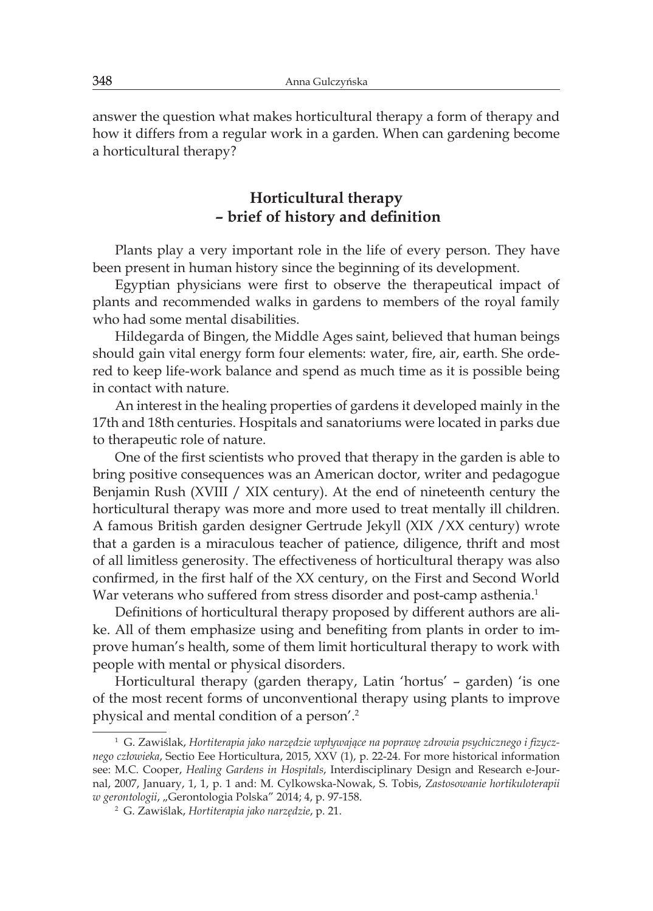answer the question what makes horticultural therapy a form of therapy and how it differs from a regular work in a garden. When can gardening become a horticultural therapy?

### **Horticultural therapy – brief of history and definition**

Plants play a very important role in the life of every person. They have been present in human history since the beginning of its development.

Egyptian physicians were first to observe the therapeutical impact of plants and recommended walks in gardens to members of the royal family who had some mental disabilities.

Hildegarda of Bingen, the Middle Ages saint, believed that human beings should gain vital energy form four elements: water, fire, air, earth. She ordered to keep life-work balance and spend as much time as it is possible being in contact with nature.

An interest in the healing properties of gardens it developed mainly in the 17th and 18th centuries. Hospitals and sanatoriums were located in parks due to therapeutic role of nature.

One of the first scientists who proved that therapy in the garden is able to bring positive consequences was an American doctor, writer and pedagogue Benjamin Rush (XVIII / XIX century). At the end of nineteenth century the horticultural therapy was more and more used to treat mentally ill children. A famous British garden designer Gertrude Jekyll (XIX /XX century) wrote that a garden is a miraculous teacher of patience, diligence, thrift and most of all limitless generosity. The effectiveness of horticultural therapy was also confirmed, in the first half of the XX century, on the First and Second World War veterans who suffered from stress disorder and post-camp asthenia.<sup>1</sup>

Definitions of horticultural therapy proposed by different authors are alike. All of them emphasize using and benefiting from plants in order to improve human's health, some of them limit horticultural therapy to work with people with mental or physical disorders.

Horticultural therapy (garden therapy, Latin 'hortus' – garden) 'is one of the most recent forms of unconventional therapy using plants to improve physical and mental condition of a person'.<sup>2</sup>

<sup>1</sup> G. Zawiślak, *Hortiterapia jako narzędzie wpływające na poprawę zdrowia psychicznego i fizycznego człowieka*, Sectio Eee Horticultura, 2015, XXV (1), p. 22-24. For more historical information see: M.C. Cooper, *Healing Gardens in Hospitals*, Interdisciplinary Design and Research e-Journal, 2007, January, 1, 1, p. 1 and: M. Cylkowska-Nowak, S. Tobis, *Zastosowanie hortikuloterapii w gerontologii*, "Gerontologia Polska" 2014; 4, p. 97-158.

<sup>2</sup> G. Zawiślak, *Hortiterapia jako narzędzie*, p. 21.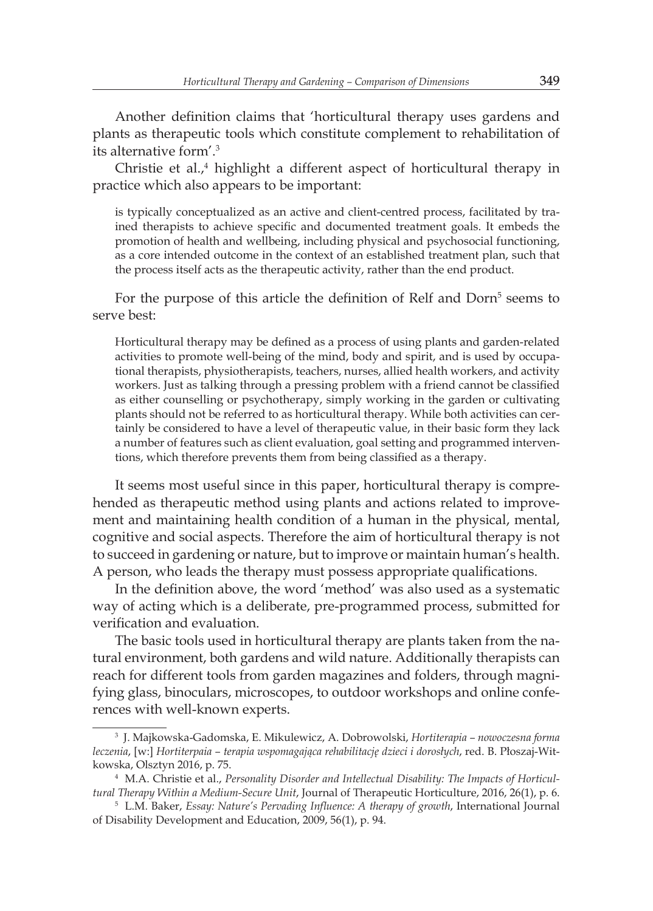Another definition claims that 'horticultural therapy uses gardens and plants as therapeutic tools which constitute complement to rehabilitation of its alternative form'.<sup>3</sup>

Christie et al.,<sup>4</sup> highlight a different aspect of horticultural therapy in practice which also appears to be important:

is typically conceptualized as an active and client-centred process, facilitated by trained therapists to achieve specific and documented treatment goals. It embeds the promotion of health and wellbeing, including physical and psychosocial functioning, as a core intended outcome in the context of an established treatment plan, such that the process itself acts as the therapeutic activity, rather than the end product.

For the purpose of this article the definition of Relf and Dorn<sup>5</sup> seems to serve best:

Horticultural therapy may be defined as a process of using plants and garden-related activities to promote well-being of the mind, body and spirit, and is used by occupational therapists, physiotherapists, teachers, nurses, allied health workers, and activity workers. Just as talking through a pressing problem with a friend cannot be classified as either counselling or psychotherapy, simply working in the garden or cultivating plants should not be referred to as horticultural therapy. While both activities can certainly be considered to have a level of therapeutic value, in their basic form they lack a number of features such as client evaluation, goal setting and programmed interventions, which therefore prevents them from being classified as a therapy.

It seems most useful since in this paper, horticultural therapy is comprehended as therapeutic method using plants and actions related to improvement and maintaining health condition of a human in the physical, mental, cognitive and social aspects. Therefore the aim of horticultural therapy is not to succeed in gardening or nature, but to improve or maintain human's health. A person, who leads the therapy must possess appropriate qualifications.

In the definition above, the word 'method' was also used as a systematic way of acting which is a deliberate, pre-programmed process, submitted for verification and evaluation.

The basic tools used in horticultural therapy are plants taken from the natural environment, both gardens and wild nature. Additionally therapists can reach for different tools from garden magazines and folders, through magnifying glass, binoculars, microscopes, to outdoor workshops and online conferences with well-known experts.

<sup>3</sup> J. Majkowska-Gadomska, E. Mikulewicz, A. Dobrowolski, *Hortiterapia – nowoczesna forma leczenia*, [w:] *Hortiterpaia – terapia wspomagająca rehabilitację dzieci i dorosłych*, red. B. Płoszaj-Witkowska, Olsztyn 2016, p. 75.

<sup>4</sup> M.A. Christie et al., *Personality Disorder and Intellectual Disability: The Impacts of Horticultural Therapy Within a Medium-Secure Unit*, Journal of Therapeutic Horticulture, 2016, 26(1), p. 6.

<sup>5</sup> L.M. Baker, *Essay: Nature's Pervading Influence: A therapy of growth*, International Journal of Disability Development and Education, 2009, 56(1), p. 94.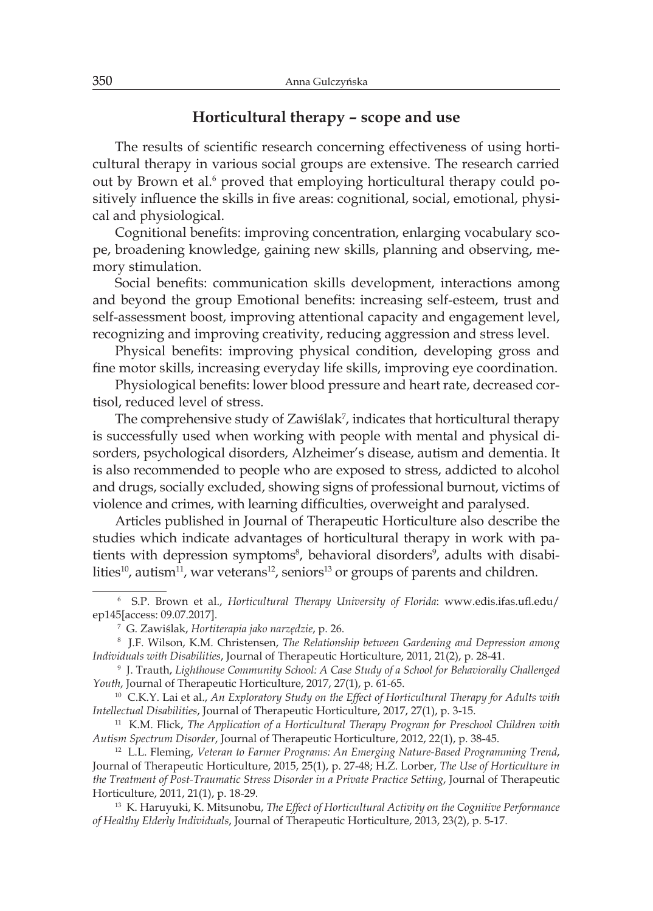### **Horticultural therapy – scope and use**

The results of scientific research concerning effectiveness of using horticultural therapy in various social groups are extensive. The research carried out by Brown et al.<sup>6</sup> proved that employing horticultural therapy could positively influence the skills in five areas: cognitional, social, emotional, physical and physiological.

Cognitional benefits: improving concentration, enlarging vocabulary scope, broadening knowledge, gaining new skills, planning and observing, memory stimulation.

Social benefits: communication skills development, interactions among and beyond the group Emotional benefits: increasing self-esteem, trust and self-assessment boost, improving attentional capacity and engagement level, recognizing and improving creativity, reducing aggression and stress level.

Physical benefits: improving physical condition, developing gross and fine motor skills, increasing everyday life skills, improving eye coordination.

Physiological benefits: lower blood pressure and heart rate, decreased cortisol, reduced level of stress.

The comprehensive study of Zawiślak<sup>7</sup>, indicates that horticultural therapy is successfully used when working with people with mental and physical disorders, psychological disorders, Alzheimer's disease, autism and dementia. It is also recommended to people who are exposed to stress, addicted to alcohol and drugs, socially excluded, showing signs of professional burnout, victims of violence and crimes, with learning difficulties, overweight and paralysed.

Articles published in Journal of Therapeutic Horticulture also describe the studies which indicate advantages of horticultural therapy in work with patients with depression symptoms<sup>8</sup>, behavioral disorders<sup>9</sup>, adults with disabilities<sup>10</sup>, autism<sup>11</sup>, war veterans<sup>12</sup>, seniors<sup>13</sup> or groups of parents and children.

<sup>6</sup> S.P. Brown et al., *Horticultural Therapy University of Florida*: www.edis.ifas.ufl.edu/ ep145[access: 09.07.2017].

<sup>7</sup> G. Zawiślak, *Hortiterapia jako narzędzie*, p. 26.

<sup>8</sup> J.F. Wilson, K.M. Christensen, *The Relationship between Gardening and Depression among Individuals with Disabilities*, Journal of Therapeutic Horticulture, 2011, 21(2), p. 28-41.

<sup>9</sup> J. Trauth, *Lighthouse Community School: A Case Study of a School for Behaviorally Challenged Youth*, Journal of Therapeutic Horticulture, 2017, 27(1), p. 61-65.

<sup>&</sup>lt;sup>10</sup> C.K.Y. Lai et al., An Exploratory Study on the Effect of Horticultural Therapy for Adults with *Intellectual Disabilities*, Journal of Therapeutic Horticulture, 2017, 27(1), p. 3-15.

<sup>11</sup> K.M. Flick, *The Application of a Horticultural Therapy Program for Preschool Children with Autism Spectrum Disorder*, Journal of Therapeutic Horticulture, 2012, 22(1), p. 38-45.

<sup>12</sup> L.L. Fleming, *Veteran to Farmer Programs: An Emerging Nature-Based Programming Trend*, Journal of Therapeutic Horticulture, 2015, 25(1), p. 27-48; H.Z. Lorber, *The Use of Horticulture in the Treatment of Post-Traumatic Stress Disorder in a Private Practice Setting*, Journal of Therapeutic Horticulture, 2011, 21(1), p. 18-29.

<sup>13</sup> K. Haruyuki, K. Mitsunobu, *The Effect of Horticultural Activity on the Cognitive Performance of Healthy Elderly Individuals*, Journal of Therapeutic Horticulture, 2013, 23(2), p. 5-17.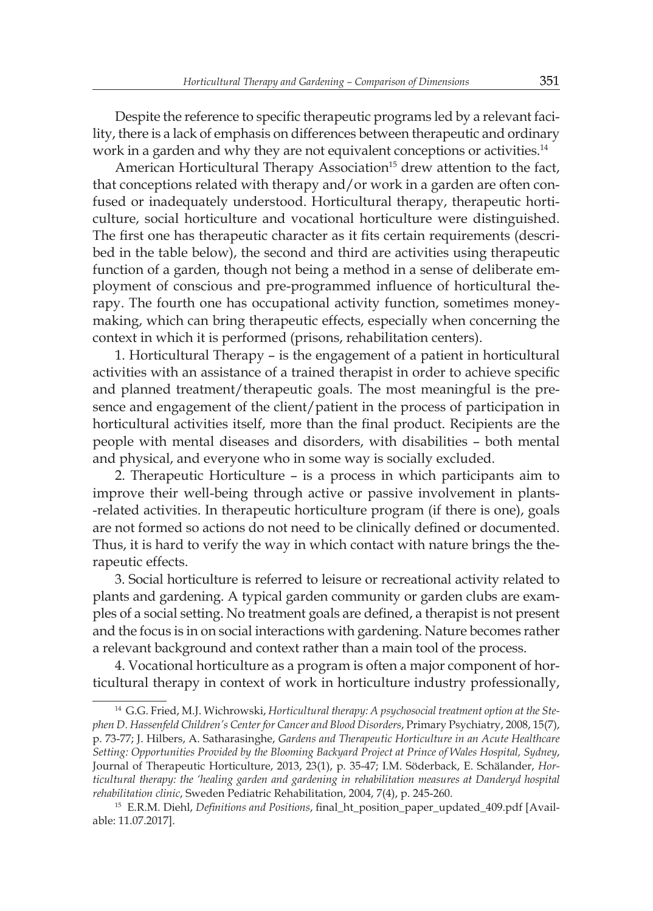Despite the reference to specific therapeutic programs led by a relevant facility, there is a lack of emphasis on differences between therapeutic and ordinary work in a garden and why they are not equivalent conceptions or activities.<sup>14</sup>

American Horticultural Therapy Association<sup>15</sup> drew attention to the fact, that conceptions related with therapy and/or work in a garden are often confused or inadequately understood. Horticultural therapy, therapeutic horticulture, social horticulture and vocational horticulture were distinguished. The first one has therapeutic character as it fits certain requirements (described in the table below), the second and third are activities using therapeutic function of a garden, though not being a method in a sense of deliberate employment of conscious and pre-programmed influence of horticultural therapy. The fourth one has occupational activity function, sometimes moneymaking, which can bring therapeutic effects, especially when concerning the context in which it is performed (prisons, rehabilitation centers).

1. Horticultural Therapy – is the engagement of a patient in horticultural activities with an assistance of a trained therapist in order to achieve specific and planned treatment/therapeutic goals. The most meaningful is the presence and engagement of the client/patient in the process of participation in horticultural activities itself, more than the final product. Recipients are the people with mental diseases and disorders, with disabilities – both mental and physical, and everyone who in some way is socially excluded.

2. Therapeutic Horticulture – is a process in which participants aim to improve their well-being through active or passive involvement in plants- -related activities. In therapeutic horticulture program (if there is one), goals are not formed so actions do not need to be clinically defined or documented. Thus, it is hard to verify the way in which contact with nature brings the therapeutic effects.

3. Social horticulture is referred to leisure or recreational activity related to plants and gardening. A typical garden community or garden clubs are examples of a social setting. No treatment goals are defined, a therapist is not present and the focus is in on social interactions with gardening. Nature becomes rather a relevant background and context rather than a main tool of the process.

4. Vocational horticulture as a program is often a major component of horticultural therapy in context of work in horticulture industry professionally,

<sup>14</sup> G.G. Fried, M.J. Wichrowski, *Horticultural therapy: A psychosocial treatment option at the Stephen D. Hassenfeld Children's Center for Cancer and Blood Disorders*, Primary Psychiatry, 2008, 15(7), p. 73-77; J. Hilbers, A. Satharasinghe, *Gardens and Therapeutic Horticulture in an Acute Healthcare Setting: Opportunities Provided by the Blooming Backyard Project at Prince of Wales Hospital, Sydney*, Journal of Therapeutic Horticulture, 2013, 23(1), p. 35-47; I.M. Söderback, E. Schälander, *Horticultural therapy: the 'healing garden and gardening in rehabilitation measures at Danderyd hospital rehabilitation clinic*, Sweden Pediatric Rehabilitation, 2004, 7(4), p. 245-260.

<sup>15</sup> E.R.M. Diehl, *Definitions and Positions*, final\_ht\_position\_paper\_updated\_409.pdf [Available: 11.07.2017].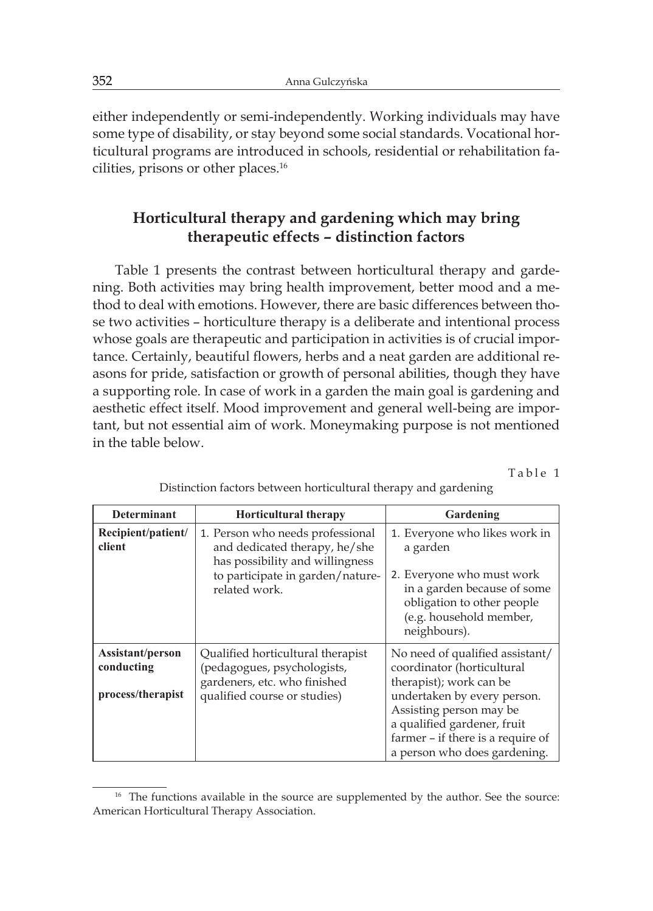either independently or semi-independently. Working individuals may have some type of disability, or stay beyond some social standards. Vocational horticultural programs are introduced in schools, residential or rehabilitation facilities, prisons or other places.<sup>16</sup>

# **Horticultural therapy and gardening which may bring therapeutic effects – distinction factors**

Table 1 presents the contrast between horticultural therapy and gardening. Both activities may bring health improvement, better mood and a method to deal with emotions. However, there are basic differences between those two activities – horticulture therapy is a deliberate and intentional process whose goals are therapeutic and participation in activities is of crucial importance. Certainly, beautiful flowers, herbs and a neat garden are additional reasons for pride, satisfaction or growth of personal abilities, though they have a supporting role. In case of work in a garden the main goal is gardening and aesthetic effect itself. Mood improvement and general well-being are important, but not essential aim of work. Moneymaking purpose is not mentioned in the table below.

Table 1

| <b>Determinant</b>                                  | <b>Horticultural therapy</b>                                                                                                                              | Gardening                                                                                                                                                                                                                                              |
|-----------------------------------------------------|-----------------------------------------------------------------------------------------------------------------------------------------------------------|--------------------------------------------------------------------------------------------------------------------------------------------------------------------------------------------------------------------------------------------------------|
| Recipient/patient/<br>client                        | 1. Person who needs professional<br>and dedicated therapy, he/she<br>has possibility and willingness<br>to participate in garden/nature-<br>related work. | 1. Everyone who likes work in<br>a garden<br>2. Everyone who must work<br>in a garden because of some<br>obligation to other people<br>(e.g. household member,<br>neighbours).                                                                         |
| Assistant/person<br>conducting<br>process/therapist | Qualified horticultural therapist<br>(pedagogues, psychologists,<br>gardeners, etc. who finished<br>qualified course or studies)                          | No need of qualified assistant/<br>coordinator (horticultural<br>therapist); work can be<br>undertaken by every person.<br>Assisting person may be<br>a qualified gardener, fruit<br>farmer - if there is a require of<br>a person who does gardening. |

Distinction factors between horticultural therapy and gardening

<sup>&</sup>lt;sup>16</sup> The functions available in the source are supplemented by the author. See the source: American Horticultural Therapy Association.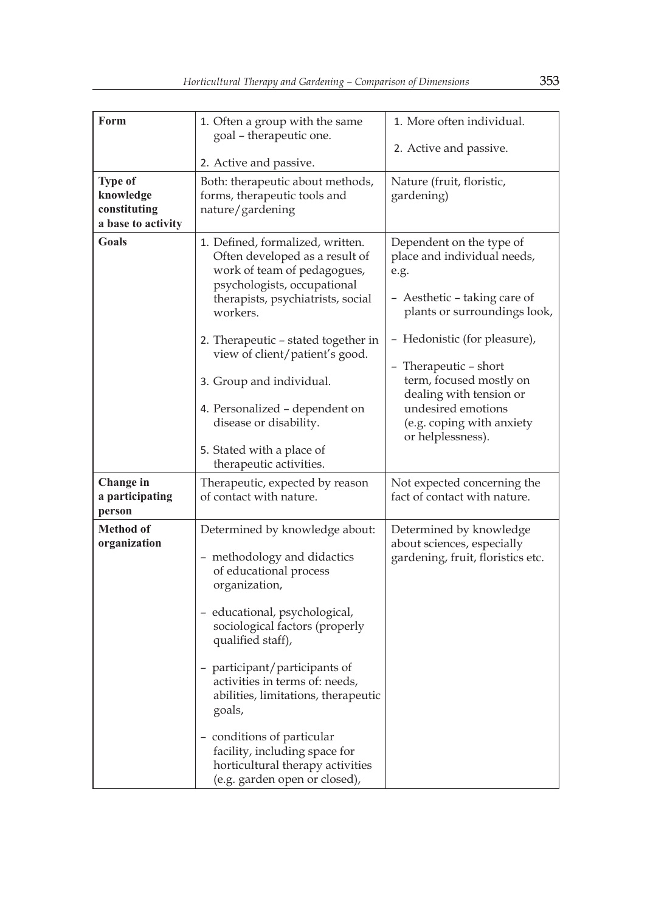| Form                                                              | 1. Often a group with the same<br>goal - therapeutic one.                                                                                                                                                                                                                                                                                                                                                                                                | 1. More often individual.                                                                                                                                                                                                                                                                                              |
|-------------------------------------------------------------------|----------------------------------------------------------------------------------------------------------------------------------------------------------------------------------------------------------------------------------------------------------------------------------------------------------------------------------------------------------------------------------------------------------------------------------------------------------|------------------------------------------------------------------------------------------------------------------------------------------------------------------------------------------------------------------------------------------------------------------------------------------------------------------------|
|                                                                   | 2. Active and passive.                                                                                                                                                                                                                                                                                                                                                                                                                                   | 2. Active and passive.                                                                                                                                                                                                                                                                                                 |
| <b>Type of</b><br>knowledge<br>constituting<br>a base to activity | Both: therapeutic about methods,<br>forms, therapeutic tools and<br>nature/gardening                                                                                                                                                                                                                                                                                                                                                                     | Nature (fruit, floristic,<br>gardening)                                                                                                                                                                                                                                                                                |
| Goals                                                             | 1. Defined, formalized, written.<br>Often developed as a result of<br>work of team of pedagogues,<br>psychologists, occupational<br>therapists, psychiatrists, social<br>workers.<br>2. Therapeutic – stated together in<br>view of client/patient's good.<br>3. Group and individual.<br>4. Personalized - dependent on<br>disease or disability.<br>5. Stated with a place of<br>therapeutic activities.                                               | Dependent on the type of<br>place and individual needs,<br>e.g.<br>- Aesthetic – taking care of<br>plants or surroundings look,<br>- Hedonistic (for pleasure),<br>- Therapeutic – short<br>term, focused mostly on<br>dealing with tension or<br>undesired emotions<br>(e.g. coping with anxiety<br>or helplessness). |
| Change in<br>a participating<br>person                            | Therapeutic, expected by reason<br>of contact with nature.                                                                                                                                                                                                                                                                                                                                                                                               | Not expected concerning the<br>fact of contact with nature.                                                                                                                                                                                                                                                            |
| <b>Method of</b><br>organization                                  | Determined by knowledge about:<br>- methodology and didactics<br>of educational process<br>organization,<br>- educational, psychological,<br>sociological factors (properly<br>qualified staff),<br>- participant/participants of<br>activities in terms of: needs,<br>abilities, limitations, therapeutic<br>goals,<br>- conditions of particular<br>facility, including space for<br>horticultural therapy activities<br>(e.g. garden open or closed), | Determined by knowledge<br>about sciences, especially<br>gardening, fruit, floristics etc.                                                                                                                                                                                                                             |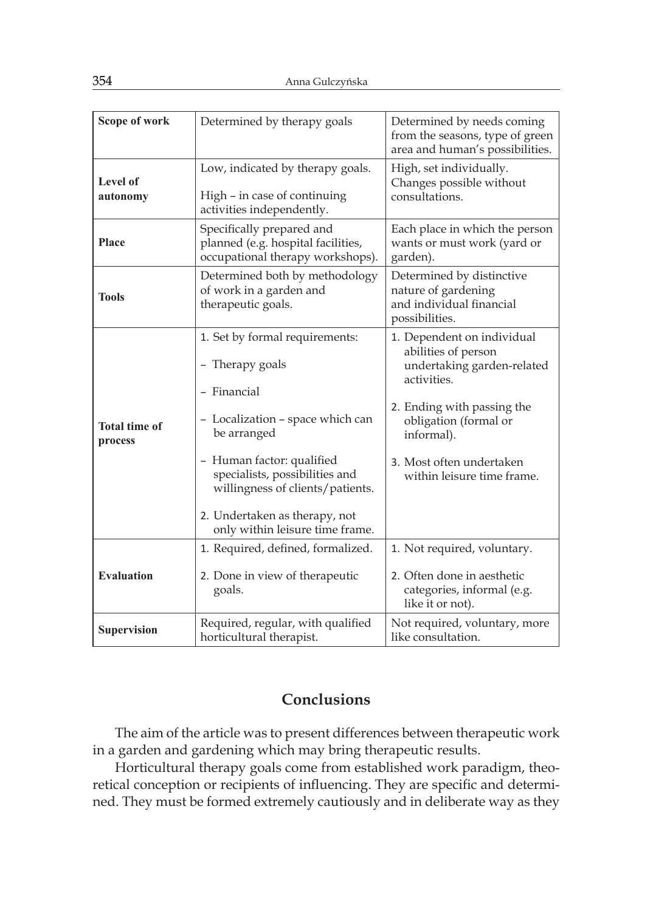| Scope of work                   | Determined by therapy goals                                                                                                                                                                                                                                                                | Determined by needs coming<br>from the seasons, type of green<br>area and human's possibilities.                                                                                                                              |
|---------------------------------|--------------------------------------------------------------------------------------------------------------------------------------------------------------------------------------------------------------------------------------------------------------------------------------------|-------------------------------------------------------------------------------------------------------------------------------------------------------------------------------------------------------------------------------|
| Level of<br>autonomy            | Low, indicated by therapy goals.<br>High – in case of continuing<br>activities independently.                                                                                                                                                                                              | High, set individually.<br>Changes possible without<br>consultations.                                                                                                                                                         |
| <b>Place</b>                    | Specifically prepared and<br>planned (e.g. hospital facilities,<br>occupational therapy workshops).                                                                                                                                                                                        | Each place in which the person<br>wants or must work (yard or<br>garden).                                                                                                                                                     |
| <b>Tools</b>                    | Determined both by methodology<br>of work in a garden and<br>therapeutic goals.                                                                                                                                                                                                            | Determined by distinctive<br>nature of gardening<br>and individual financial<br>possibilities.                                                                                                                                |
| <b>Total time of</b><br>process | 1. Set by formal requirements:<br>- Therapy goals<br>- Financial<br>- Localization - space which can<br>be arranged<br>- Human factor: qualified<br>specialists, possibilities and<br>willingness of clients/patients.<br>2. Undertaken as therapy, not<br>only within leisure time frame. | 1. Dependent on individual<br>abilities of person<br>undertaking garden-related<br>activities.<br>2. Ending with passing the<br>obligation (formal or<br>informal).<br>3. Most often undertaken<br>within leisure time frame. |
| <b>Evaluation</b>               | 1. Required, defined, formalized.<br>2. Done in view of therapeutic<br>goals.                                                                                                                                                                                                              | 1. Not required, voluntary.<br>2. Often done in aesthetic<br>categories, informal (e.g.<br>like it or not).                                                                                                                   |
| <b>Supervision</b>              | Required, regular, with qualified<br>horticultural therapist.                                                                                                                                                                                                                              | Not required, voluntary, more<br>like consultation.                                                                                                                                                                           |

## **Conclusions**

The aim of the article was to present differences between therapeutic work in a garden and gardening which may bring therapeutic results.

Horticultural therapy goals come from established work paradigm, theoretical conception or recipients of influencing. They are specific and determined. They must be formed extremely cautiously and in deliberate way as they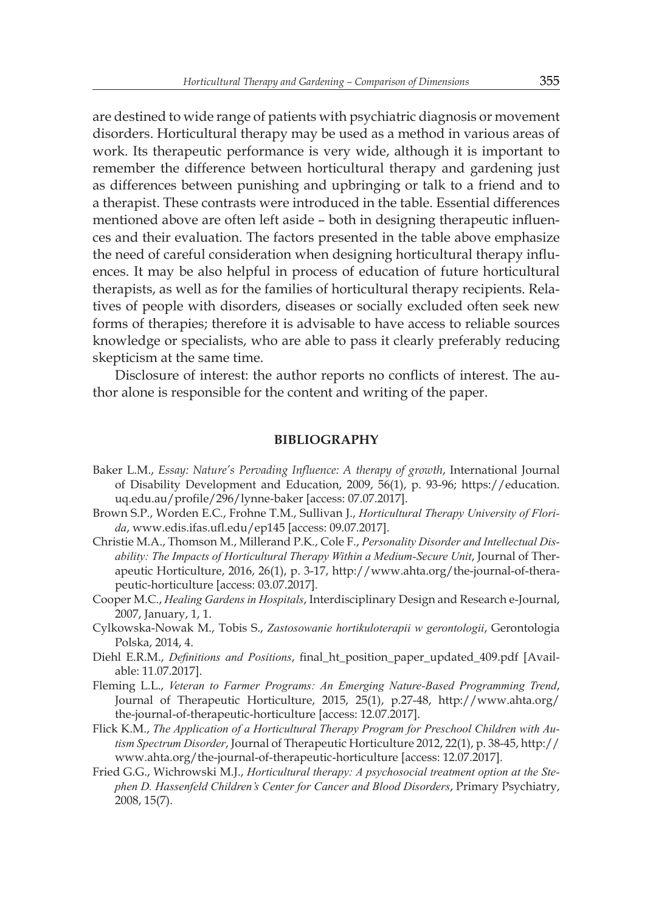are destined to wide range of patients with psychiatric diagnosis or movement disorders. Horticultural therapy may be used as a method in various areas of work. Its therapeutic performance is very wide, although it is important to remember the difference between horticultural therapy and gardening just as differences between punishing and upbringing or talk to a friend and to a therapist. These contrasts were introduced in the table. Essential differences mentioned above are often left aside – both in designing therapeutic influences and their evaluation. The factors presented in the table above emphasize the need of careful consideration when designing horticultural therapy influences. It may be also helpful in process of education of future horticultural therapists, as well as for the families of horticultural therapy recipients. Relatives of people with disorders, diseases or socially excluded often seek new forms of therapies; therefore it is advisable to have access to reliable sources knowledge or specialists, who are able to pass it clearly preferably reducing skepticism at the same time.

Disclosure of interest: the author reports no conflicts of interest. The author alone is responsible for the content and writing of the paper.

#### **BIBLIOGRAPHY**

- Baker L.M., *Essay: Nature's Pervading Influence: A therapy of growth*, International Journal of Disability Development and Education, 2009, 56(1), p. 93-96; https://education. uq.edu.au/profile/296/lynne-baker [access: 07.07.2017].
- Brown S.P., Worden E.C., Frohne T.M., Sullivan J., *Horticultural Therapy University of Florida*, www.edis.ifas.ufl.edu/ep145 [access: 09.07.2017].
- Christie M.A., Thomson M., Millerand P.K., Cole F., *Personality Disorder and Intellectual Disability: The Impacts of Horticultural Therapy Within a Medium-Secure Unit*, Journal of Therapeutic Horticulture, 2016, 26(1), p. 3-17, http://www.ahta.org/the-journal-of-therapeutic-horticulture [access: 03.07.2017].
- Cooper M.C., *Healing Gardens in Hospitals*, Interdisciplinary Design and Research e-Journal, 2007, January, 1, 1.
- Cylkowska-Nowak M., Tobis S., *Zastosowanie hortikuloterapii w gerontologii*, Gerontologia Polska, 2014, 4.
- Diehl E.R.M., *Definitions and Positions*, final\_ht\_position\_paper\_updated\_409.pdf [Available: 11.07.2017].
- Fleming L.L., *Veteran to Farmer Programs: An Emerging Nature-Based Programming Trend*, Journal of Therapeutic Horticulture, 2015, 25(1), p.27-48, http://www.ahta.org/ the-journal-of-therapeutic-horticulture [access: 12.07.2017].
- Flick K.M., *The Application of a Horticultural Therapy Program for Preschool Children with Autism Spectrum Disorder*, Journal of Therapeutic Horticulture 2012, 22(1), p. 38-45, http:// www.ahta.org/the-journal-of-therapeutic-horticulture [access: 12.07.2017].
- Fried G.G., Wichrowski M.J., *Horticultural therapy: A psychosocial treatment option at the Stephen D. Hassenfeld Children's Center for Cancer and Blood Disorders*, Primary Psychiatry, 2008, 15(7).